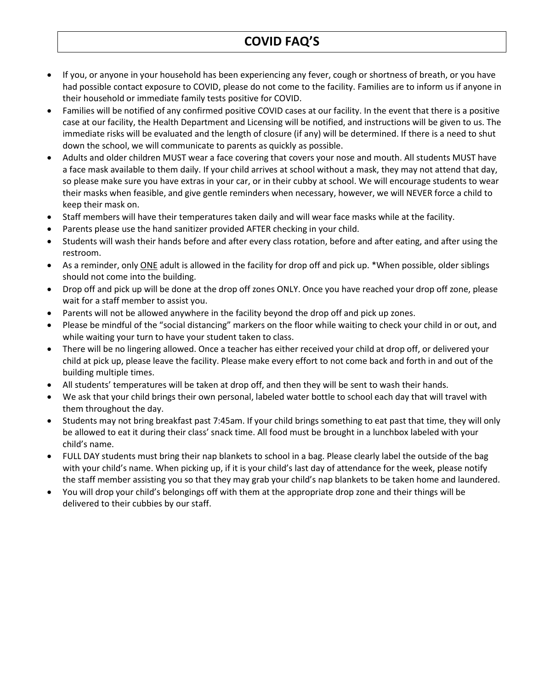## **COVID FAQ'S**

- If you, or anyone in your household has been experiencing any fever, cough or shortness of breath, or you have had possible contact exposure to COVID, please do not come to the facility. Families are to inform us if anyone in their household or immediate family tests positive for COVID.
- Families will be notified of any confirmed positive COVID cases at our facility. In the event that there is a positive case at our facility, the Health Department and Licensing will be notified, and instructions will be given to us. The immediate risks will be evaluated and the length of closure (if any) will be determined. If there is a need to shut down the school, we will communicate to parents as quickly as possible.
- Adults and older children MUST wear a face covering that covers your nose and mouth. All students MUST have a face mask available to them daily. If your child arrives at school without a mask, they may not attend that day, so please make sure you have extras in your car, or in their cubby at school. We will encourage students to wear their masks when feasible, and give gentle reminders when necessary, however, we will NEVER force a child to keep their mask on.
- Staff members will have their temperatures taken daily and will wear face masks while at the facility.
- Parents please use the hand sanitizer provided AFTER checking in your child.
- Students will wash their hands before and after every class rotation, before and after eating, and after using the restroom.
- As a reminder, only ONE adult is allowed in the facility for drop off and pick up. \*When possible, older siblings should not come into the building.
- Drop off and pick up will be done at the drop off zones ONLY. Once you have reached your drop off zone, please wait for a staff member to assist you.
- Parents will not be allowed anywhere in the facility beyond the drop off and pick up zones.
- Please be mindful of the "social distancing" markers on the floor while waiting to check your child in or out, and while waiting your turn to have your student taken to class.
- There will be no lingering allowed. Once a teacher has either received your child at drop off, or delivered your child at pick up, please leave the facility. Please make every effort to not come back and forth in and out of the building multiple times.
- All students' temperatures will be taken at drop off, and then they will be sent to wash their hands.
- We ask that your child brings their own personal, labeled water bottle to school each day that will travel with them throughout the day.
- Students may not bring breakfast past 7:45am. If your child brings something to eat past that time, they will only be allowed to eat it during their class' snack time. All food must be brought in a lunchbox labeled with your child's name.
- FULL DAY students must bring their nap blankets to school in a bag. Please clearly label the outside of the bag with your child's name. When picking up, if it is your child's last day of attendance for the week, please notify the staff member assisting you so that they may grab your child's nap blankets to be taken home and laundered.
- You will drop your child's belongings off with them at the appropriate drop zone and their things will be delivered to their cubbies by our staff.